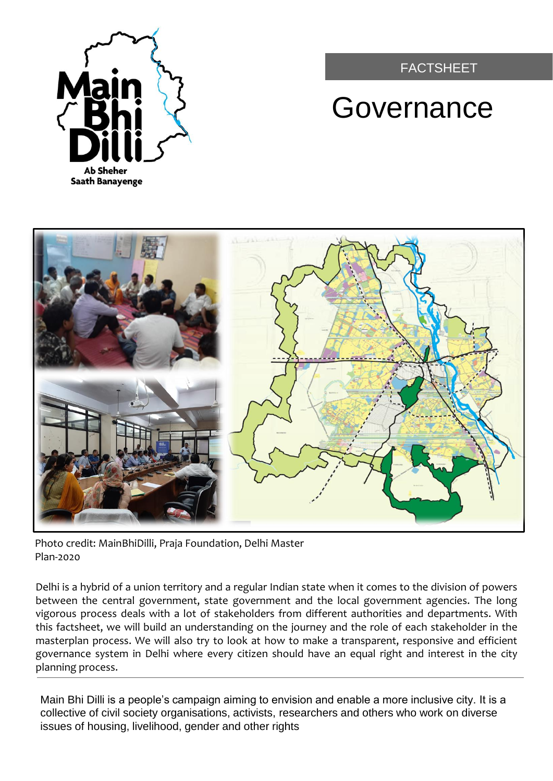

# FACTSHEET

# **Governance**



Photo credit: MainBhiDilli, Praja Foundation, Delhi Master Plan-2020

Delhi is a hybrid of a union territory and a regular Indian state when it comes to the division of powers between the central government, state government and the local government agencies. The long vigorous process deals with a lot of stakeholders from different authorities and departments. With this factsheet, we will build an understanding on the journey and the role of each stakeholder in the masterplan process. We will also try to look at how to make a transparent, responsive and efficient governance system in Delhi where every citizen should have an equal right and interest in the city planning process.

Main Bhi Dilli is a people's campaign aiming to envision and enable a more inclusive city. It is a collective of civil society organisations, activists, researchers and others who work on diverse issues of housing, livelihood, gender and other rights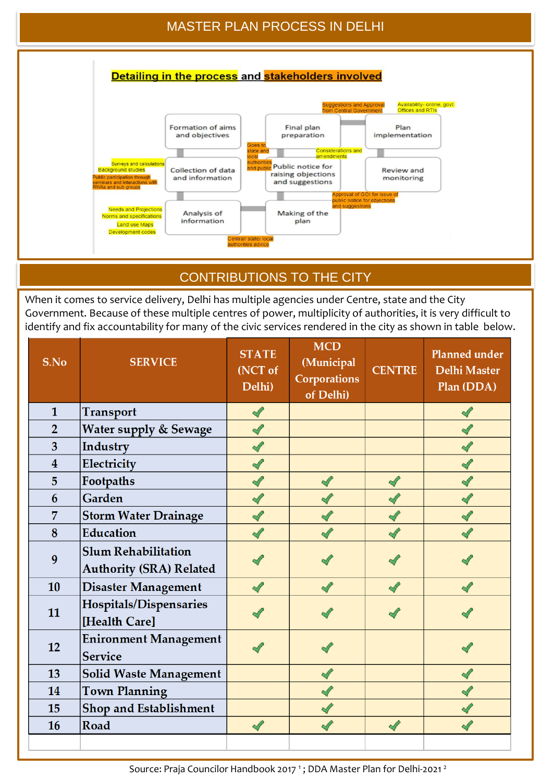## MASTER PLAN PROCESS IN DELHI



## CONTRIBUTIONS TO THE CITY

When it comes to service delivery, Delhi has multiple agencies under Centre, state and the City Government. Because of these multiple centres of power, multiplicity of authorities, it is very difficult to identify and fix accountability for many of the civic services rendered in the city as shown in table below.

| S.No                    | <b>SERVICE</b>                                               | <b>STATE</b><br>(NCT of<br>Delhi) | <b>MCD</b><br>(Municipal<br><b>Corporations</b><br>of Delhi) | <b>CENTRE</b> | <b>Planned under</b><br><b>Delhi Master</b><br>Plan (DDA) |
|-------------------------|--------------------------------------------------------------|-----------------------------------|--------------------------------------------------------------|---------------|-----------------------------------------------------------|
| $\mathbf{1}$            | <b>Transport</b>                                             | √                                 |                                                              |               |                                                           |
| $\overline{2}$          | Water supply & Sewage                                        | √                                 |                                                              |               |                                                           |
| $\overline{3}$          | Industry                                                     | √                                 |                                                              |               |                                                           |
| $\overline{\mathbf{4}}$ | Electricity                                                  | √                                 |                                                              |               |                                                           |
| 5                       | Footpaths                                                    |                                   |                                                              |               |                                                           |
| 6                       | Garden                                                       |                                   |                                                              | √             |                                                           |
| 7                       | <b>Storm Water Drainage</b>                                  |                                   |                                                              |               |                                                           |
| 8                       | Education                                                    |                                   |                                                              |               |                                                           |
| 9                       | <b>Slum Rehabilitation</b><br><b>Authority (SRA) Related</b> |                                   |                                                              |               |                                                           |
| 10                      | <b>Disaster Management</b>                                   | $\mathscr{A}$                     | A                                                            | √             |                                                           |
| 11                      | Hospitals/Dispensaries<br>[Health Care]                      |                                   |                                                              |               |                                                           |
| 12                      | <b>Enironment Management</b><br><b>Service</b>               |                                   |                                                              |               |                                                           |
| 13                      | <b>Solid Waste Management</b>                                |                                   | √                                                            |               |                                                           |
| 14                      | <b>Town Planning</b>                                         |                                   |                                                              |               |                                                           |
| 15                      | Shop and Establishment                                       |                                   | $\mathscr{M}$                                                |               |                                                           |
| 16                      | Road                                                         | $\mathscr{A}$                     | √                                                            | √             |                                                           |
|                         |                                                              |                                   |                                                              |               |                                                           |

Source: Praja Councilor Handbook 2017<sup>1</sup>; DDA Master Plan for Delhi-2021<sup>2</sup>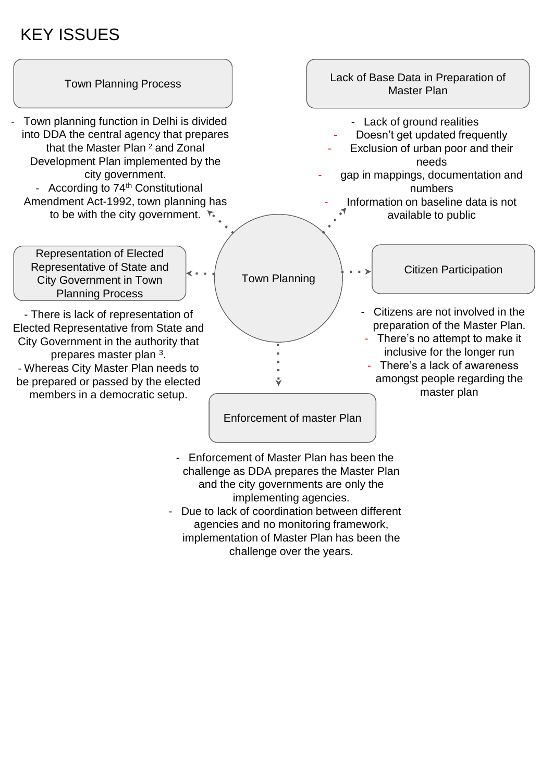# KEY ISSUES



- Due to lack of coordination between different agencies and no monitoring framework, implementation of Master Plan has been the challenge over the years.